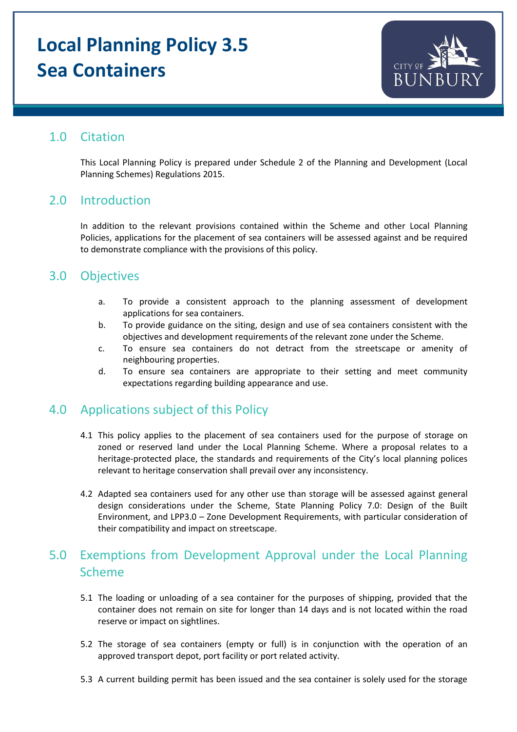# **Local Planning Policy 3.5 Sea Containers**



# 1.0 Citation

This Local Planning Policy is prepared under Schedule 2 of the Planning and Development (Local Planning Schemes) Regulations 2015.

### 2.0 Introduction

In addition to the relevant provisions contained within the Scheme and other Local Planning Policies, applications for the placement of sea containers will be assessed against and be required to demonstrate compliance with the provisions of this policy.

## 3.0 Objectives

- a. To provide a consistent approach to the planning assessment of development applications for sea containers.
- b. To provide guidance on the siting, design and use of sea containers consistent with the objectives and development requirements of the relevant zone under the Scheme.
- c. To ensure sea containers do not detract from the streetscape or amenity of neighbouring properties.
- d. To ensure sea containers are appropriate to their setting and meet community expectations regarding building appearance and use.

## 4.0 Applications subject of this Policy

- 4.1 This policy applies to the placement of sea containers used for the purpose of storage on zoned or reserved land under the Local Planning Scheme. Where a proposal relates to a heritage-protected place, the standards and requirements of the City's local planning polices relevant to heritage conservation shall prevail over any inconsistency.
- 4.2 Adapted sea containers used for any other use than storage will be assessed against general design considerations under the Scheme, State Planning Policy 7.0: Design of the Built Environment, and LPP3.0 – Zone Development Requirements, with particular consideration of their compatibility and impact on streetscape.

# 5.0 Exemptions from Development Approval under the Local Planning Scheme

- 5.1 The loading or unloading of a sea container for the purposes of shipping, provided that the container does not remain on site for longer than 14 days and is not located within the road reserve or impact on sightlines.
- 5.2 The storage of sea containers (empty or full) is in conjunction with the operation of an approved transport depot, port facility or port related activity.
- 5.3 A current building permit has been issued and the sea container is solely used for the storage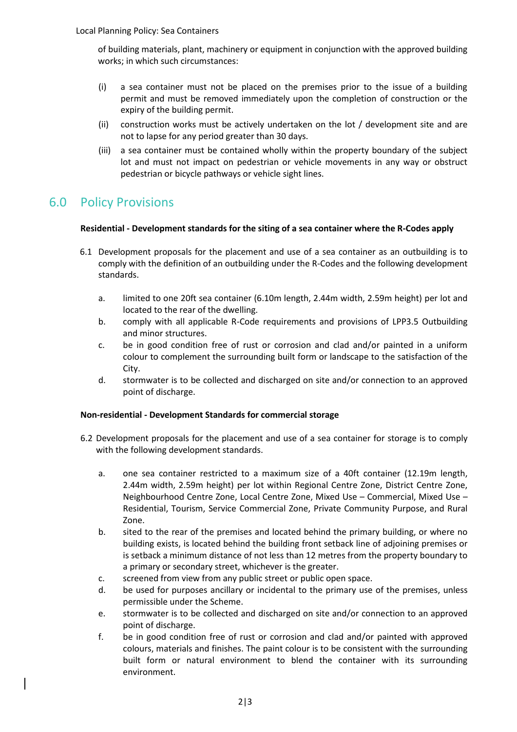of building materials, plant, machinery or equipment in conjunction with the approved building works; in which such circumstances:

- (i) a sea container must not be placed on the premises prior to the issue of a building permit and must be removed immediately upon the completion of construction or the expiry of the building permit.
- (ii) construction works must be actively undertaken on the lot / development site and are not to lapse for any period greater than 30 days.
- (iii) a sea container must be contained wholly within the property boundary of the subject lot and must not impact on pedestrian or vehicle movements in any way or obstruct pedestrian or bicycle pathways or vehicle sight lines.

# 6.0 Policy Provisions

#### **Residential - Development standards for the siting of a sea container where the R-Codes apply**

- 6.1 Development proposals for the placement and use of a sea container as an outbuilding is to comply with the definition of an outbuilding under the R-Codes and the following development standards.
	- a. limited to one 20ft sea container (6.10m length, 2.44m width, 2.59m height) per lot and located to the rear of the dwelling.
	- b. comply with all applicable R-Code requirements and provisions of LPP3.5 Outbuilding and minor structures.
	- c. be in good condition free of rust or corrosion and clad and/or painted in a uniform colour to complement the surrounding built form or landscape to the satisfaction of the City.
	- d. stormwater is to be collected and discharged on site and/or connection to an approved point of discharge.

#### **Non-residential - Development Standards for commercial storage**

- 6.2 Development proposals for the placement and use of a sea container for storage is to comply with the following development standards.
	- a. one sea container restricted to a maximum size of a 40ft container (12.19m length, 2.44m width, 2.59m height) per lot within Regional Centre Zone, District Centre Zone, Neighbourhood Centre Zone, Local Centre Zone, Mixed Use – Commercial, Mixed Use – Residential, Tourism, Service Commercial Zone, Private Community Purpose, and Rural Zone.
	- b. sited to the rear of the premises and located behind the primary building, or where no building exists, is located behind the building front setback line of adjoining premises or is setback a minimum distance of not less than 12 metres from the property boundary to a primary or secondary street, whichever is the greater.
	- c. screened from view from any public street or public open space.
	- d. be used for purposes ancillary or incidental to the primary use of the premises, unless permissible under the Scheme.
	- e. stormwater is to be collected and discharged on site and/or connection to an approved point of discharge.
	- f. be in good condition free of rust or corrosion and clad and/or painted with approved colours, materials and finishes. The paint colour is to be consistent with the surrounding built form or natural environment to blend the container with its surrounding environment.